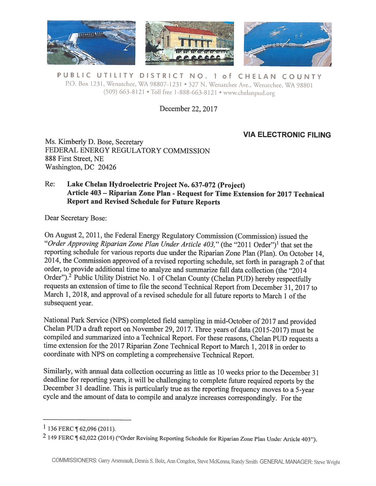

PUBLIC UTILITY DISTRICT NO. 1 of CHELAN COUNTY P.O. Box 1231, Wenatchee, WA 98807-1231 • 327 N. Wenatchee Ave., Wenatchee, WA 98801 (509) 663-8121 • Toll free 1-888-663-8121 • www.chelanpud.org

December 22, 2017

## VIA ELECTRONIC FILING

Ms. Kimberly D. Bose, Secretary FEDERAL ENERGY REGULATORY COMMISSION 888 First Street, NE Washington, DC 20426

## Re: Lake Chelan Hydroelectric Project No. 637-072 (Project) Article <sup>403</sup> — Riparian Zone Plan -Request for Time Extension for <sup>2017</sup> Technical Report and Revised Schedule for Future Reports

Dear Secretary Bose:

On August 2, 2011, the Federal Energy Regulatory Commission (Commission) issued the "Order Approving Riparian Zone Plan Under Article 403," (the "2011 Order")<sup>1</sup> that set the reporting schedule for various reports due under the Riparian Zone Plan (Plan). On October 14, 2014, the Commission approved of <sup>a</sup> revised reporting schedule, set forth in paragrap<sup>h</sup> <sup>2</sup> of that order, to provide additional time to analyze and summarize fall data collection (the "2014 Order").<sup>2</sup> Public Utility District No. 1 of Chelan County (Chelan PUD) hereby respectfully requests an extension of time to file the second Technical Report from December 31, 2017 to March 1, 2018, and approval of a revised schedule for all future reports to March 1 of the subsequent year.

National Park Service (NP\$) completed field sampling in mid-October of <sup>2017</sup> and provided Chelan PUD <sup>a</sup> draft report on November 29, 2017. Three years of data (20 15-2017) must be compiled and summarized into <sup>a</sup> Technical Report. For these reasons, Chelan PUD requests <sup>a</sup> time extension for the 2017 Riparian Zone Technical Report to March 1, 2018 in order to coordinate with NPS on completing <sup>a</sup> comprehensive Technical Report.

Similarly, with annual data collection occurring as little as <sup>10</sup> weeks prior to the December <sup>31</sup> deadline for reporting years, it will be challenging to complete future required reports by the December <sup>31</sup> deadline. This is particularly true as the reporting frequency moves to <sup>a</sup> 5-year cycle and the amount of data to compile and analyze increases correspondingly. For the

 $1$  136 FERC ¶ 62,096 (2011).

<sup>2</sup> <sup>149</sup> FERC ¶ 62,022 (2014) ("Order Revising Reporting Schedule for Riparian Zone Plan Under Article 403").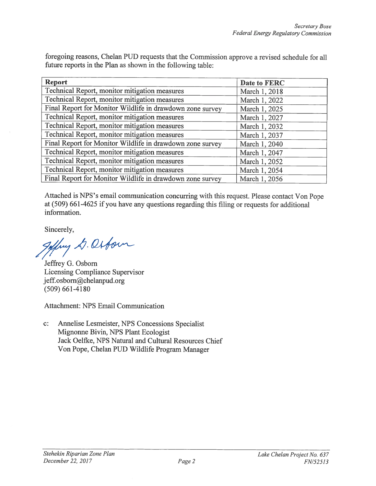foregoing reasons, Chelan PUD requests that the Commission approve <sup>a</sup> revised schedule for all future reports in the Plan as shown in the following table:

| <b>Report</b>                                             | Date to FERC  |
|-----------------------------------------------------------|---------------|
| Technical Report, monitor mitigation measures             | March 1, 2018 |
| Technical Report, monitor mitigation measures             | March 1, 2022 |
| Final Report for Monitor Wildlife in drawdown zone survey | March 1, 2025 |
| Technical Report, monitor mitigation measures             | March 1, 2027 |
| Technical Report, monitor mitigation measures             | March 1, 2032 |
| Technical Report, monitor mitigation measures             | March 1, 2037 |
| Final Report for Monitor Wildlife in drawdown zone survey | March 1, 2040 |
| Technical Report, monitor mitigation measures             | March 1, 2047 |
| Technical Report, monitor mitigation measures             | March 1, 2052 |
| Technical Report, monitor mitigation measures             | March 1, 2054 |
| Final Report for Monitor Wildlife in drawdown zone survey | March 1, 2056 |

Attached is NPS's email communication concurring with this request. Please contact Von Pope at (509) 661-4625 if you have any questions regarding this filing or requests for additional information.

Sincerely,

goffry D. Orbown

Jeffrey G. Osborn Licensing Compliance Supervisor  $j$ eff.osborn@chelanpud.org (509) 661-4180

Attachment: NPS Email Communication

c: Annelise Lesmeister, NPS Concessions Specialist Mignonne Bivin, NPS Plant Ecologist Jack Oelfke, NPS Natural and Cultural Resources Chief Von Pope, Chelan PUD Wildlife Program Manager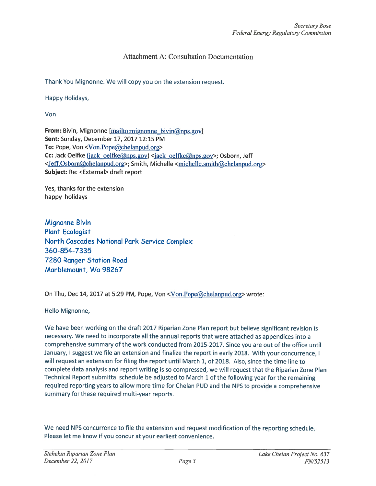## Attachment A: Consultation Documentation

Thank You Mignonne. We will copy you on the extension request.

Happy Holidays,

Von

From: Bivin, Mignonne [mailto:mignonne bivin $(\partial \rho)$ nps.gov] Sent: Sunday, December 17, 2017 12:15 PM To: Pope, Von <Von.Pope@chelanpud.org> Cc: Jack Oelfke (jack\_oelfke@nps.gov) <jack\_oelfke@nps.gov>; Osborn, Jeff <Jeff.Osborn@chelanpud.org>; Smith, Michelle <michelle.smith@chelanpud.org> Subject: Re: <External> draft repor<sup>t</sup>

Yes, thanks for the extension happy holidays

Mignonne Bivin Plant Ecologist North Cascades National Park Service Complex 360-854-7335 7280 Ranger Station Road Marblemount, Wa 98267

On Thu, Dec 14, <sup>2017</sup> at 5:29 PM, Pope, Von <Von.Pope@chelanpud.org> wrote:

Hello Mignonne,

We have been working on the draft <sup>2017</sup> Riparian Zone Plan repor<sup>t</sup> but believe significant revision is necessary. We need to incorporate all the annual reports that were attached as appendices into <sup>a</sup> comprehensive summary of the work conducted from 2015-2017. Since you are out of the office until January, <sup>I</sup> sugges<sup>t</sup> we file an extension and finalize the repor<sup>t</sup> in early 2018. With your concurrence, <sup>I</sup> will reques<sup>t</sup> an extension for filing the repor<sup>t</sup> until March 1, of 2018. Also, since the time line to complete data analysis and repor<sup>t</sup> writing is so compressed, we will reques<sup>t</sup> that the Riparian Zone Plan Technical Report submittal schedule be adjusted to March <sup>1</sup> of the following year for the remaining required reporting years to allow more time for Chelan PUD and the NPS to provide <sup>a</sup> comprehensive summary for these required multi-year reports.

We need NPS concurrence to file the extension and reques<sup>t</sup> modification of the reporting schedule. Please let me know if you concur at your earliest convenience.